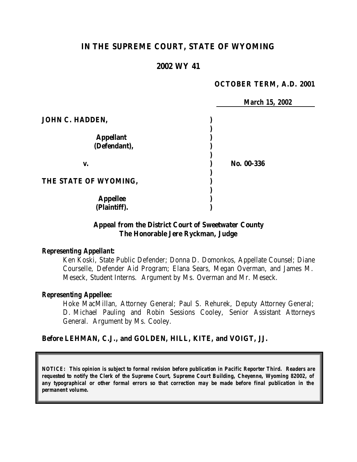# **IN THE SUPREME COURT, STATE OF WYOMING**

#### **2002 WY 41**

#### **OCTOBER TERM, A.D. 2001**

|                       | <b>March 15, 2002</b> |
|-----------------------|-----------------------|
| JOHN C. HADDEN,       |                       |
|                       |                       |
| <b>Appellant</b>      |                       |
| (Defendant),          |                       |
| V.                    | No. 00-336            |
| THE STATE OF WYOMING, |                       |
| <b>Appellee</b>       |                       |
| (Plaintiff).          |                       |

#### **Appeal from the District Court of Sweetwater County The Honorable Jere Ryckman, Judge**

#### *Representing Appellant:*

Ken Koski, State Public Defender; Donna D. Domonkos, Appellate Counsel; Diane Courselle, Defender Aid Program; Elana Sears, Megan Overman, and James M. Meseck, Student Interns. Argument by Ms. Overman and Mr. Meseck.

#### *Representing Appellee:*

Hoke MacMillan, Attorney General; Paul S. Rehurek, Deputy Attorney General; D. Michael Pauling and Robin Sessions Cooley, Senior Assistant Attorneys General. Argument by Ms. Cooley.

#### **Before LEHMAN, C.J., and GOLDEN, HILL, KITE, and VOIGT, JJ.**

*NOTICE: This opinion is subject to formal revision before publication in Pacific Reporter Third. Readers are requested to notify the Clerk of the Supreme Court, Supreme Court Building, Cheyenne, Wyoming 82002, of any typographical or other formal errors so that correction may be made before final publication in the permanent volume.*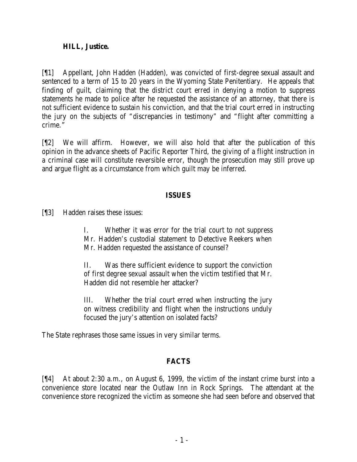#### **HILL, Justice.**

[¶1] Appellant, John Hadden (Hadden), was convicted of first-degree sexual assault and sentenced to a term of 15 to 20 years in the Wyoming State Penitentiary. He appeals that finding of guilt, claiming that the district court erred in denying a motion to suppress statements he made to police after he requested the assistance of an attorney, that there is not sufficient evidence to sustain his conviction, and that the trial court erred in instructing the jury on the subjects of "discrepancies in testimony" and "flight after committing a crime."

[¶2] We will affirm. However, we will also hold that after the publication of this opinion in the advance sheets of Pacific Reporter Third, the giving of a flight instruction in a criminal case will constitute reversible error, though the prosecution may still prove up and argue flight as a circumstance from which guilt may be inferred.

### **ISSUES**

[¶3] Hadden raises these issues:

I. Whether it was error for the trial court to not suppress Mr. Hadden's custodial statement to Detective Reekers when Mr. Hadden requested the assistance of counsel?

II. Was there sufficient evidence to support the conviction of first degree sexual assault when the victim testified that Mr. Hadden did not resemble her attacker?

III. Whether the trial court erred when instructing the jury on witness credibility and flight when the instructions unduly focused the jury's attention on isolated facts?

The State rephrases those same issues in very similar terms.

### **FACTS**

[¶4] At about 2:30 a.m., on August 6, 1999, the victim of the instant crime burst into a convenience store located near the Outlaw Inn in Rock Springs. The attendant at the convenience store recognized the victim as someone she had seen before and observed that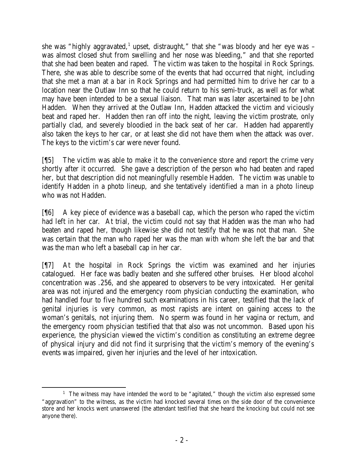she was "highly aggravated,<sup>1</sup> upset, distraught," that she "was bloody and her eye was – was almost closed shut from swelling and her nose was bleeding," and that she reported that she had been beaten and raped. The victim was taken to the hospital in Rock Springs. There, she was able to describe some of the events that had occurred that night, including that she met a man at a bar in Rock Springs and had permitted him to drive her car to a location near the Outlaw Inn so that he could return to his semi-truck, as well as for what may have been intended to be a sexual liaison. That man was later ascertained to be John Hadden. When they arrived at the Outlaw Inn, Hadden attacked the victim and viciously beat and raped her. Hadden then ran off into the night, leaving the victim prostrate, only partially clad, and severely bloodied in the back seat of her car. Hadden had apparently also taken the keys to her car, or at least she did not have them when the attack was over. The keys to the victim's car were never found.

[¶5] The victim was able to make it to the convenience store and report the crime very shortly after it occurred. She gave a description of the person who had beaten and raped her, but that description did not meaningfully resemble Hadden. The victim was unable to identify Hadden in a photo lineup, and she tentatively identified a man in a photo lineup who was not Hadden.

[¶6] A key piece of evidence was a baseball cap, which the person who raped the victim had left in her car. At trial, the victim could not say that Hadden was the man who had beaten and raped her, though likewise she did not testify that he was not that man. She was certain that the man who raped her was the man with whom she left the bar and that was the man who left a baseball cap in her car.

[¶7] At the hospital in Rock Springs the victim was examined and her injuries catalogued. Her face was badly beaten and she suffered other bruises. Her blood alcohol concentration was .256, and she appeared to observers to be very intoxicated. Her genital area was not injured and the emergency room physician conducting the examination, who had handled four to five hundred such examinations in his career, testified that the lack of genital injuries is very common, as most rapists are intent on gaining access to the woman's genitals, not injuring them. No sperm was found in her vagina or rectum, and the emergency room physician testified that that also was not uncommon. Based upon his experience, the physician viewed the victim's condition as constituting an extreme degree of physical injury and did not find it surprising that the victim's memory of the evening's events was impaired, given her injuries and the level of her intoxication.

 <sup>1</sup> The witness may have intended the word to be "agitated," though the victim also expressed some "aggravation" to the witness, as the victim had knocked several times on the side door of the convenience store and her knocks went unanswered (the attendant testified that she heard the knocking but could not see anyone there).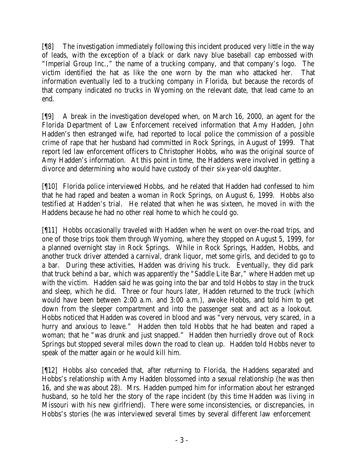[¶8] The investigation immediately following this incident produced very little in the way of leads, with the exception of a black or dark navy blue baseball cap embossed with "Imperial Group Inc.," the name of a trucking company, and that company's logo. The victim identified the hat as like the one worn by the man who attacked her. That information eventually led to a trucking company in Florida, but because the records of that company indicated no trucks in Wyoming on the relevant date, that lead came to an end.

[¶9] A break in the investigation developed when, on March 16, 2000, an agent for the Florida Department of Law Enforcement received information that Amy Hadden, John Hadden's then estranged wife, had reported to local police the commission of a possible crime of rape that her husband had committed in Rock Springs, in August of 1999. That report led law enforcement officers to Christopher Hobbs, who was the original source of Amy Hadden's information. At this point in time, the Haddens were involved in getting a divorce and determining who would have custody of their six-year-old daughter.

[¶10] Florida police interviewed Hobbs, and he related that Hadden had confessed to him that he had raped and beaten a woman in Rock Springs, on August 6, 1999. Hobbs also testified at Hadden's trial. He related that when he was sixteen, he moved in with the Haddens because he had no other real home to which he could go.

[¶11] Hobbs occasionally traveled with Hadden when he went on over-the-road trips, and one of those trips took them through Wyoming, where they stopped on August 5, 1999, for a planned overnight stay in Rock Springs. While in Rock Springs, Hadden, Hobbs, and another truck driver attended a carnival, drank liquor, met some girls, and decided to go to a bar. During these activities, Hadden was driving his truck. Eventually, they did park that truck behind a bar, which was apparently the "Saddle Lite Bar," where Hadden met up with the victim. Hadden said he was going into the bar and told Hobbs to stay in the truck and sleep, which he did. Three or four hours later, Hadden returned to the truck (which would have been between 2:00 a.m. and 3:00 a.m.), awoke Hobbs, and told him to get down from the sleeper compartment and into the passenger seat and act as a lookout. Hobbs noticed that Hadden was covered in blood and was "very nervous, very scared, in a hurry and anxious to leave." Hadden then told Hobbs that he had beaten and raped a woman; that he "was drunk and just snapped." Hadden then hurriedly drove out of Rock Springs but stopped several miles down the road to clean up. Hadden told Hobbs never to speak of the matter again or he would kill him.

[¶12] Hobbs also conceded that, after returning to Florida, the Haddens separated and Hobbs's relationship with Amy Hadden blossomed into a sexual relationship (he was then 16, and she was about 28). Mrs. Hadden pumped him for information about her estranged husband, so he told her the story of the rape incident (by this time Hadden was living in Missouri with his new girlfriend). There were some inconsistencies, or discrepancies, in Hobbs's stories (he was interviewed several times by several different law enforcement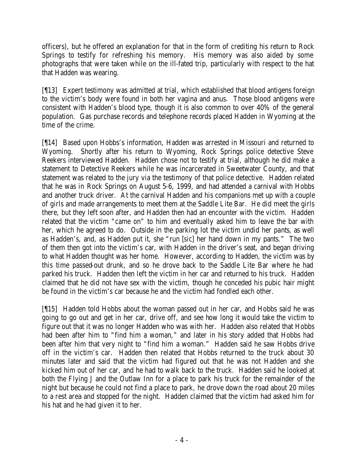officers), but he offered an explanation for that in the form of crediting his return to Rock Springs to testify for refreshing his memory. His memory was also aided by some photographs that were taken while on the ill-fated trip, particularly with respect to the hat that Hadden was wearing.

[¶13] Expert testimony was admitted at trial, which established that blood antigens foreign to the victim's body were found in both her vagina and anus. Those blood antigens were consistent with Hadden's blood type, though it is also common to over 40% of the general population. Gas purchase records and telephone records placed Hadden in Wyoming at the time of the crime.

[¶14] Based upon Hobbs's information, Hadden was arrested in Missouri and returned to Wyoming. Shortly after his return to Wyoming, Rock Springs police detective Steve Reekers interviewed Hadden. Hadden chose not to testify at trial, although he did make a statement to Detective Reekers while he was incarcerated in Sweetwater County, and that statement was related to the jury via the testimony of that police detective. Hadden related that he was in Rock Springs on August 5-6, 1999, and had attended a carnival with Hobbs and another truck driver. At the carnival Hadden and his companions met up with a couple of girls and made arrangements to meet them at the Saddle Lite Bar. He did meet the girls there, but they left soon after, and Hadden then had an encounter with the victim. Hadden related that the victim "came on" to him and eventually asked him to leave the bar with her, which he agreed to do. Outside in the parking lot the victim undid her pants, as well as Hadden's, and, as Hadden put it, she "run [*sic*] her hand down in my pants." The two of them then got into the victim's car, with Hadden in the driver's seat, and began driving to what Hadden thought was her home. However, according to Hadden, the victim was by this time passed-out drunk, and so he drove back to the Saddle Lite Bar where he had parked his truck. Hadden then left the victim in her car and returned to his truck. Hadden claimed that he did not have sex with the victim, though he conceded his pubic hair might be found in the victim's car because he and the victim had fondled each other.

[¶15] Hadden told Hobbs about the woman passed out in her car, and Hobbs said he was going to go out and get in her car, drive off, and see how long it would take the victim to figure out that it was no longer Hadden who was with her. Hadden also related that Hobbs had been after him to "find him a woman," and later in his story added that Hobbs had been after him that very night to "find him a woman." Hadden said he saw Hobbs drive off in the victim's car. Hadden then related that Hobbs returned to the truck about 30 minutes later and said that the victim had figured out that he was not Hadden and she kicked him out of her car, and he had to walk back to the truck. Hadden said he looked at both the Flying J and the Outlaw Inn for a place to park his truck for the remainder of the night but because he could not find a place to park, he drove down the road about 20 miles to a rest area and stopped for the night. Hadden claimed that the victim had asked him for his hat and he had given it to her.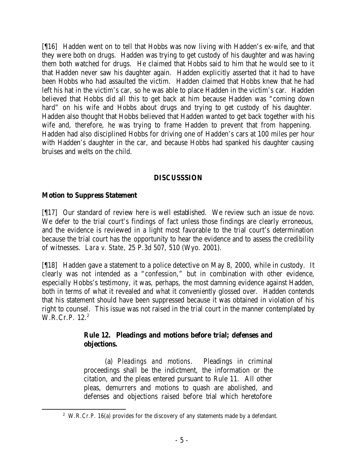[¶16] Hadden went on to tell that Hobbs was now living with Hadden's ex-wife, and that they were both on drugs. Hadden was trying to get custody of his daughter and was having them both watched for drugs. He claimed that Hobbs said to him that he would see to it that Hadden never saw his daughter again. Hadden explicitly asserted that it had to have been Hobbs who had assaulted the victim. Hadden claimed that Hobbs knew that he had left his hat in the victim's car, so he was able to place Hadden in the victim's car. Hadden believed that Hobbs did all this to get back at him because Hadden was "coming down hard" on his wife and Hobbs about drugs and trying to get custody of his daughter. Hadden also thought that Hobbs believed that Hadden wanted to get back together with his wife and, therefore, he was trying to frame Hadden to prevent that from happening. Hadden had also disciplined Hobbs for driving one of Hadden's cars at 100 miles per hour with Hadden's daughter in the car, and because Hobbs had spanked his daughter causing bruises and welts on the child.

### **DISCUSSSION**

## **Motion to Suppress Statement**

[¶17] Our standard of review here is well established. We review such an issue *de novo*. We defer to the trial court's findings of fact unless those findings are clearly erroneous, and the evidence is reviewed in a light most favorable to the trial court's determination because the trial court has the opportunity to hear the evidence and to assess the credibility of witnesses. *Lara v. State*, 25 P.3d 507, 510 (Wyo. 2001).

[¶18] Hadden gave a statement to a police detective on May 8, 2000, while in custody. It clearly was not intended as a "confession," but in combination with other evidence, especially Hobbs's testimony, it was, perhaps, the most damning evidence against Hadden, both in terms of what it revealed and what it conveniently glossed over. Hadden contends that his statement should have been suppressed because it was obtained in violation of his right to counsel. This issue was not raised in the trial court in the manner contemplated by W.R.Cr.P. 12.<sup>2</sup>

## **Rule 12. Pleadings and motions before trial; defenses and objections.**

(a) *Pleadings and motions*. Pleadings in criminal proceedings shall be the indictment, the information or the citation, and the pleas entered pursuant to Rule 11. All other pleas, demurrers and motions to quash are abolished, and defenses and objections raised before trial which heretofore

<sup>&</sup>lt;sup>2</sup> W.R.Cr.P. 16(a) provides for the discovery of any statements made by a defendant.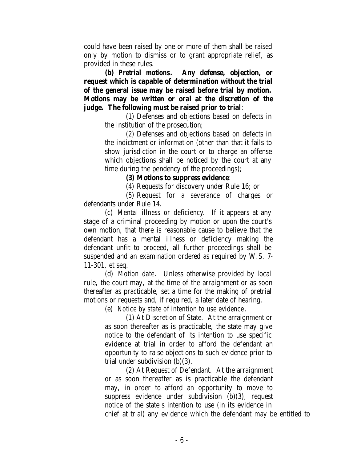could have been raised by one or more of them shall be raised only by motion to dismiss or to grant appropriate relief, as provided in these rules.

**(b)** *Pretrial motions***. Any defense, objection, or request which is capable of determination without the trial of the general issue may be raised before trial by motion. Motions may be written or oral at the discretion of the judge. The following must be raised prior to trial**:

> (1) Defenses and objections based on defects in the institution of the prosecution;

> (2) Defenses and objections based on defects in the indictment or information (other than that it fails to show jurisdiction in the court or to charge an offense which objections shall be noticed by the court at any time during the pendency of the proceedings);

#### **(3) Motions to suppress evidence**;

(4) Requests for discovery under Rule 16; or

(5) Request for a severance of charges or defendants under Rule 14.

(c) *Mental illness or deficiency*. If it appears at any stage of a criminal proceeding by motion or upon the court's own motion, that there is reasonable cause to believe that the defendant has a mental illness or deficiency making the defendant unfit to proceed, all further proceedings shall be suspended and an examination ordered as required by W.S. 7- 11-301, et seq.

(d) *Motion date*. Unless otherwise provided by local rule, the court may, at the time of the arraignment or as soon thereafter as practicable, set a time for the making of pretrial motions or requests and, if required, a later date of hearing.

(e) *Notice by state of intention to use evidence*.

(1) At Discretion of State. At the arraignment or as soon thereafter as is practicable, the state may give notice to the defendant of its intention to use specific evidence at trial in order to afford the defendant an opportunity to raise objections to such evidence prior to trial under subdivision (b)(3).

(2) At Request of Defendant. At the arraignment or as soon thereafter as is practicable the defendant may, in order to afford an opportunity to move to suppress evidence under subdivision (b)(3), request notice of the state's intention to use (in its evidence in chief at trial) any evidence which the defendant may be entitled to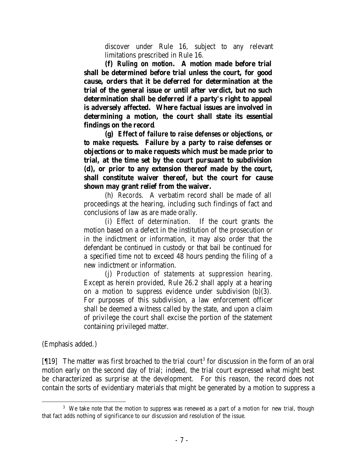discover under Rule 16, subject to any relevant limitations prescribed in Rule 16.

**(f)** *Ruling on motion***. A motion made before trial shall be determined before trial unless the court, for good cause, orders that it be deferred for determination at the trial of the general issue or until after verdict, but no such determination shall be deferred if a party's right to appeal is adversely affected. Where factual issues are involved in determining a motion, the court shall state its essential findings on the record**.

**(g)** *Effect of failure to raise defenses or objections, or to make requests***. Failure by a party to raise defenses or objections or to make requests which must be made prior to trial, at the time set by the court pursuant to subdivision (d), or prior to any extension thereof made by the court, shall constitute waiver thereof, but the court for cause shown may grant relief from the waiver.**

(h) *Records*. A verbatim record shall be made of all proceedings at the hearing, including such findings of fact and conclusions of law as are made orally.

(i) *Effect of determination*. If the court grants the motion based on a defect in the institution of the prosecution or in the indictment or information, it may also order that the defendant be continued in custody or that bail be continued for a specified time not to exceed 48 hours pending the filing of a new indictment or information.

(j) *Production of statements at suppression hearing*. Except as herein provided, Rule 26.2 shall apply at a hearing on a motion to suppress evidence under subdivision  $(b)(3)$ . For purposes of this subdivision, a law enforcement officer shall be deemed a witness called by the state, and upon a claim of privilege the court shall excise the portion of the statement containing privileged matter.

(Emphasis added.)

 $[19]$  The matter was first broached to the trial court<sup>3</sup> for discussion in the form of an oral motion early on the second day of trial; indeed, the trial court expressed what might best be characterized as surprise at the development. For this reason, the record does not contain the sorts of evidentiary materials that might be generated by a motion to suppress a

<sup>&</sup>lt;sup>3</sup> We take note that the motion to suppress was renewed as a part of a motion for new trial, though that fact adds nothing of significance to our discussion and resolution of the issue.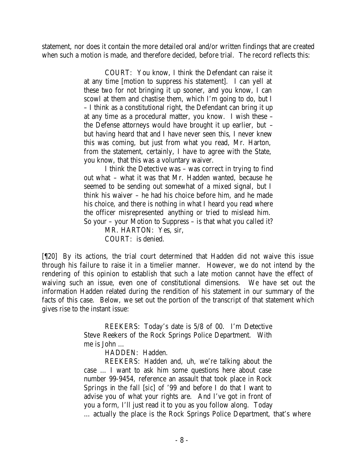statement, nor does it contain the more detailed oral and/or written findings that are created when such a motion is made, and therefore decided, before trial. The record reflects this:

> COURT: You know, I think the Defendant can raise it at any time [motion to suppress his statement]. I can yell at these two for not bringing it up sooner, and you know, I can scowl at them and chastise them, which I'm going to do, but I – I think as a constitutional right, the Defendant can bring it up at any time as a procedural matter, you know. I wish these – the Defense attorneys would have brought it up earlier, but – but having heard that and I have never seen this, I never knew this was coming, but just from what you read, Mr. Harton, from the statement, certainly, I have to agree with the State, you know, that this was a voluntary waiver.

> I think the Detective was – was correct in trying to find out what – what it was that Mr. Hadden wanted, because he seemed to be sending out somewhat of a mixed signal, but I think his waiver – he had his choice before him, and he made his choice, and there is nothing in what I heard you read where the officer misrepresented anything or tried to mislead him. So your – your Motion to Suppress – is that what you called it?

MR. HARTON: Yes, sir, COURT: is denied.

[¶20] By its actions, the trial court determined that Hadden did not waive this issue through his failure to raise it in a timelier manner. However, we do not intend by the rendering of this opinion to establish that such a late motion cannot have the effect of waiving such an issue, even one of constitutional dimensions. We have set out the information Hadden related during the rendition of his statement in our summary of the facts of this case. Below, we set out the portion of the transcript of that statement which gives rise to the instant issue:

> REEKERS: Today's date is 5/8 of 00. I'm Detective Steve Reekers of the Rock Springs Police Department. With me is John …

> > HADDEN: Hadden.

REEKERS: Hadden and, uh, we're talking about the case … I want to ask him some questions here about case number 99-9454, reference an assault that took place in Rock Springs in the fall [*sic*] of '99 and before I do that I want to advise you of what your rights are. And I've got in front of you a form, I'll just read it to you as you follow along. Today … actually the place is the Rock Springs Police Department, that's where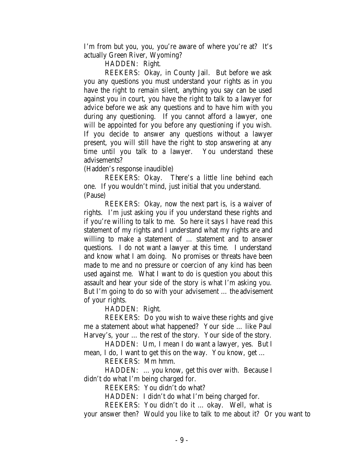I'm from but you, you, you're aware of where you're at? It's actually Green River, Wyoming?

HADDEN: Right.

REEKERS: Okay, in County Jail. But before we ask you any questions you must understand your rights as in you have the right to remain silent, anything you say can be used against you in court, you have the right to talk to a lawyer for advice before we ask any questions and to have him with you during any questioning. If you cannot afford a lawyer, one will be appointed for you before any questioning if you wish. If you decide to answer any questions without a lawyer present, you will still have the right to stop answering at any time until you talk to a lawyer. You understand these advisements?

(Hadden's response inaudible)

REEKERS: Okay. There's a little line behind each one. If you wouldn't mind, just initial that you understand. (Pause)

REEKERS: Okay, now the next part is, is a waiver of rights. I'm just asking you if you understand these rights and if you're willing to talk to me. So here it says I have read this statement of my rights and I understand what my rights are and willing to make a statement of … statement and to answer questions. I do not want a lawyer at this time. I understand and know what I am doing. No promises or threats have been made to me and no pressure or coercion of any kind has been used against me. What I want to do is question you about this assault and hear your side of the story is what I'm asking you. But I'm going to do so with your advisement … the advisement of your rights.

HADDEN: Right.

REEKERS: Do you wish to waive these rights and give me a statement about what happened? Your side … like Paul Harvey's, your … the rest of the story. Your side of the story.

HADDEN: Um, I mean I do want a lawyer, yes. But I mean, I do, I want to get this on the way. You know, get …

REEKERS: Mm hmm.

HADDEN: … you know, get this over with. Because I didn't do what I'm being charged for.

REEKERS: You didn't do what?

HADDEN: I didn't do what I'm being charged for.

REEKERS: You didn't do it … okay. Well, what is

your answer then? Would you like to talk to me about it? Or you want to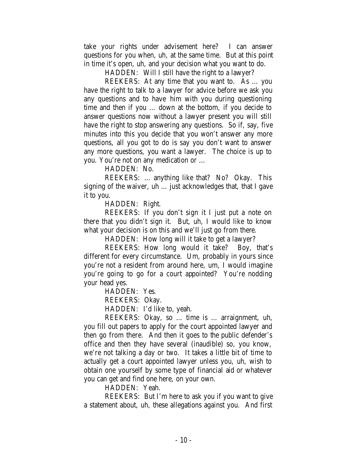take your rights under advisement here? I can answer questions for you when, uh, at the same time. But at this point in time it's open, uh, and your decision what you want to do.

HADDEN: Will I still have the right to a lawyer?

REEKERS: At any time that you want to. As … you have the right to talk to a lawyer for advice before we ask you any questions and to have him with you during questioning time and then if you … down at the bottom, if you decide to answer questions now without a lawyer present you will still have the right to stop answering any questions. So if, say, five minutes into this you decide that you won't answer any more questions, all you got to do is say you don't want to answer any more questions, you want a lawyer. The choice is up to you. You're not on any medication or …

HADDEN: No.

REEKERS: … anything like that? No? Okay. This signing of the waiver, uh … just acknowledges that, that I gave it to you.

HADDEN: Right.

REEKERS: If you don't sign it I just put a note on there that you didn't sign it. But, uh, I would like to know what your decision is on this and we'll just go from there.

HADDEN: How long will it take to get a lawyer?

REEKERS: How long would it take? Boy, that's different for every circumstance. Um, probably in yours since you're not a resident from around here, um, I would imagine you're going to go for a court appointed? You're nodding your head yes.

HADDEN: Yes.

REEKERS: Okay.

HADDEN: I'd like to, yeah.

REEKERS: Okay, so … time is … arraignment, uh, you fill out papers to apply for the court appointed lawyer and then go from there. And then it goes to the public defender's office and then they have several (inaudible) so, you know, we're not talking a day or two. It takes a little bit of time to actually get a court appointed lawyer unless you, uh, wish to obtain one yourself by some type of financial aid or whatever you can get and find one here, on your own.

HADDEN: Yeah.

REEKERS: But I'm here to ask you if you want to give a statement about, uh, these allegations against you. And first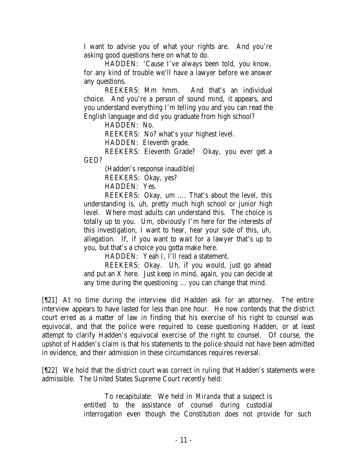I want to advise you of what your rights are. And you're asking good questions here on what to do.

HADDEN: 'Cause I've always been told, you know, for any kind of trouble we'll have a lawyer before we answer any questions.

REEKERS: Mm hmm. And that's an individual choice. And you're a person of sound mind, it appears, and you understand everything I'm telling you and you can read the English language and did you graduate from high school?

HADDEN: No.

REEKERS: No? what's your highest level.

HADDEN: Eleventh grade.

REEKERS: Eleventh Grade? Okay, you ever get a GED?

(Hadden's response inaudible)

REEKERS: Okay, yes?

HADDEN: Yes.

REEKERS: Okay, um …. That's about the level, this understanding is, uh, pretty much high school or junior high level. Where most adults can understand this. The choice is totally up to you. Um, obviously I'm here for the interests of this investigation, I want to hear, hear your side of this, uh, allegation. If, if you want to wait for a lawyer that's up to you, but that's a choice you gotta make here.

HADDEN: Yeah I, I'll read a statement.

REEKERS: Okay. Uh, if you would, just go ahead and put an X here. Just keep in mind, again, you can decide at any time during the questioning … you can change that mind.

[¶21] At no time during the interview did Hadden ask for an attorney. The entire interview appears to have lasted for less than one hour. He now contends that the district court erred as a matter of law in finding that his exercise of his right to counsel was equivocal, and that the police were required to cease questioning Hadden, or at least attempt to clarify Hadden's equivocal exercise of the right to counsel. Of course, the upshot of Hadden's claim is that his statements to the police should not have been admitted in evidence, and their admission in these circumstances requires reversal.

[¶22] We hold that the district court was correct in ruling that Hadden's statements were admissible. The United States Supreme Court recently held:

> To recapitulate: We held in *Miranda* that a suspect is entitled to the assistance of counsel during custodial interrogation even though the Constitution does not provide for such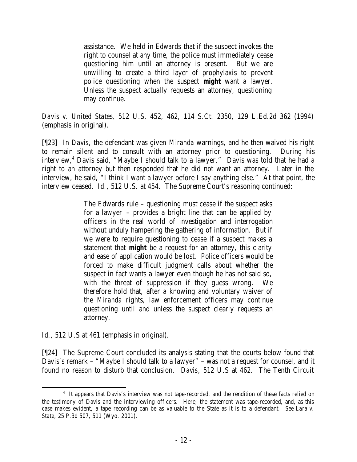assistance. We held in *Edwards* that if the suspect invokes the right to counsel at any time, the police must immediately cease questioning him until an attorney is present. But we are unwilling to create a third layer of prophylaxis to prevent police questioning when the suspect *might* want a lawyer. Unless the suspect actually requests an attorney, questioning may continue.

*Davis v. United States*, 512 U.S. 452, 462, 114 S.Ct. 2350, 129 L.Ed.2d 362 (1994) (emphasis in original).

[¶23] In *Davis*, the defendant was given *Miranda* warnings, and he then waived his right to remain silent and to consult with an attorney prior to questioning. During his interview,<sup>4</sup> Davis said, "Maybe I should talk to a lawyer." Davis was told that he had a right to an attorney but then responded that he did not want an attorney. Later in the interview, he said, "I think I want a lawyer before I say anything else." At that point, the interview ceased. *Id*., 512 U.S. at 454. The Supreme Court's reasoning continued:

> The Edwards rule – questioning must cease if the suspect asks for a lawyer – provides a bright line that can be applied by officers in the real world of investigation and interrogation without unduly hampering the gathering of information. But if we were to require questioning to cease if a suspect makes a statement that *might* be a request for an attorney, this clarity and ease of application would be lost. Police officers would be forced to make difficult judgment calls about whether the suspect in fact wants a lawyer even though he has not said so, with the threat of suppression if they guess wrong. We therefore hold that, after a knowing and voluntary waiver of the *Miranda* rights, law enforcement officers may continue questioning until and unless the suspect clearly requests an attorney.

*Id*., 512 U.S at 461 (emphasis in original).

[¶24] The Supreme Court concluded its analysis stating that the courts below found that Davis's remark – "Maybe I should talk to a lawyer" – was not a request for counsel, and it found no reason to disturb that conclusion. *Davis*, 512 U.S at 462. The Tenth Circuit

<sup>&</sup>lt;sup>4</sup> It appears that Davis's interview was not tape-recorded, and the rendition of these facts relied on the testimony of Davis and the interviewing officers. Here, the statement was tape-recorded, and, as this case makes evident, a tape recording can be as valuable to the State as it is to a defendant. *See Lara v. State*, 25 P.3d 507, 511 (Wyo. 2001).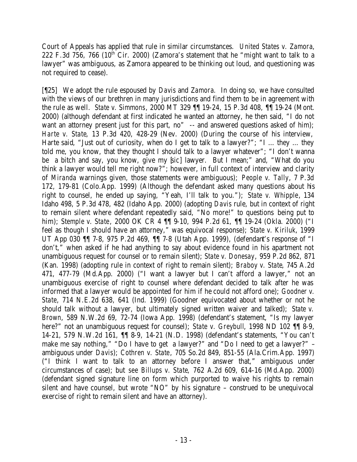Court of Appeals has applied that rule in similar circumstances. *United States v. Zamora*, 222 F.3d 756, 766 ( $10^{th}$  Cir. 2000) (Zamora's statement that he "might want to talk to a lawyer" was ambiguous, as Zamora appeared to be thinking out loud, and questioning was not required to cease).

[¶25] We adopt the rule espoused by *Davis* and *Zamora*. In doing so, we have consulted with the views of our brethren in many jurisdictions and find them to be in agreement with the rule as well. *State v. Simmons*, 2000 MT 329 ¶¶ 19-24, 15 P.3d 408, ¶¶ 19-24 (Mont. 2000) (although defendant at first indicated he wanted an attorney, he then said, "I do not want an attorney present just for this part, no" -- and answered questions asked of him); *Harte v. State*, 13 P.3d 420, 428-29 (Nev. 2000) (During the course of his interview, Harte said, "Just out of curiosity, when do I get to talk to a lawyer?"; "I … they … they told me, you know, that they thought I should talk to a lawyer whatever"; "I don't wanna be a bitch and say, you know, give my [*sic*] lawyer. But I mean;" and, "What do you think a lawyer would tell me right now?"; however, in full context of interview and clarity of *Miranda* warnings given, those statements were ambiguous); *People v. Tally*, 7 P.3d 172, 179-81 (Colo.App. 1999) (Although the defendant asked many questions about his right to counsel, he ended up saying, "Yeah, I'll talk to you."); *State v. Whipple*, 134 Idaho 498, 5 P.3d 478, 482 (Idaho App. 2000) (adopting *Davis* rule, but in context of right to remain silent where defendant repeatedly said, "No more!" to questions being put to him); *Stemple v. State*, 2000 OK CR 4 ¶¶ 9-10, 994 P.2d 61, ¶¶ 19-24 (Okla. 2000) ("I feel as though I should have an attorney," was equivocal response); *State v. Kiriluk*, 1999 UT App 030 ¶¶ 7-8, 975 P.2d 469, ¶¶ 7-8 (Utah App. 1999), (defendant's response of "I don't," when asked if he had anything to say about evidence found in his apartment not unambiguous request for counsel or to remain silent); *State v. Donesay*, 959 P.2d 862, 871 (Kan. 1998) (adopting rule in context of right to remain silent); *Braboy v. State*, 745 A.2d 471, 477-79 (Md.App. 2000) ("I want a lawyer but I can't afford a lawyer," not an unambiguous exercise of right to counsel where defendant decided to talk after he was informed that a lawyer would be appointed for him if he could not afford one); *Goodner v. State*, 714 N.E.2d 638, 641 (Ind. 1999) (Goodner equivocated about whether or not he should talk without a lawyer, but ultimately signed written waiver and talked); *State v. Brown*, 589 N.W.2d 69, 72-74 (Iowa App. 1998) (defendant's statement, "Is my lawyer here?" not an unambiguous request for counsel); *State v. Greybull*, 1998 ND 102 ¶¶ 8-9, 14-21, 579 N.W.2d 161, ¶¶ 8-9, 14-21 (N.D. 1998) (defendant's statements, "You can't make me say nothing," "Do I have to get a lawyer?" and "Do I need to get a lawyer?" – ambiguous under *Davis*); *Cothren v. State*, 705 So.2d 849, 851-55 (Ala.Crim.App. 1997) ("I think I want to talk to an attorney before I answer that," ambiguous under circumstances of case); but *see Billups v. State*, 762 A.2d 609, 614-16 (Md.App. 2000) (defendant signed signature line on form which purported to waive his rights to remain silent and have counsel, but wrote "NO" by his signature – construed to be unequivocal exercise of right to remain silent and have an attorney).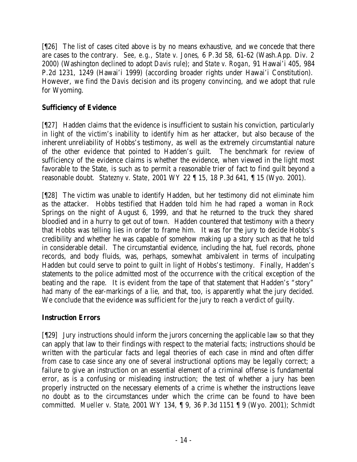[¶26] The list of cases cited above is by no means exhaustive, and we concede that there are cases to the contrary. *See, e.g*., *State v. Jones*, 6 P.3d 58, 61-62 (Wash.App. Div. 2 2000) (Washington declined to adopt *Davis* rule); and *State v. Rogan*, 91 Hawai'i 405, 984 P.2d 1231, 1249 (Hawai'i 1999) (according broader rights under Hawai'i Constitution). However, we find the *Davis* decision and its progeny convincing, and we adopt that rule for Wyoming.

# **Sufficiency of Evidence**

[¶27] Hadden claims that the evidence is insufficient to sustain his conviction, particularly in light of the victim's inability to identify him as her attacker, but also because of the inherent unreliability of Hobbs's testimony, as well as the extremely circumstantial nature of the other evidence that pointed to Hadden's guilt. The benchmark for review of sufficiency of the evidence claims is whether the evidence, when viewed in the light most favorable to the State, is such as to permit a reasonable trier of fact to find guilt beyond a reasonable doubt. *Statezny v. State*, 2001 WY 22 ¶ 15, 18 P.3d 641, ¶ 15 (Wyo. 2001).

[¶28] The victim was unable to identify Hadden, but her testimony did not eliminate him as the attacker. Hobbs testified that Hadden told him he had raped a woman in Rock Springs on the night of August 6, 1999, and that he returned to the truck they shared bloodied and in a hurry to get out of town. Hadden countered that testimony with a theory that Hobbs was telling lies in order to frame him. It was for the jury to decide Hobbs's credibility and whether he was capable of somehow making up a story such as that he told in considerable detail. The circumstantial evidence, including the hat, fuel records, phone records, and body fluids, was, perhaps, somewhat ambivalent in terms of inculpating Hadden but could serve to point to guilt in light of Hobbs's testimony. Finally, Hadden's statements to the police admitted most of the occurrence with the critical exception of the beating and the rape. It is evident from the tape of that statement that Hadden's "story" had many of the ear-markings of a lie, and that, too, is apparently what the jury decided. We conclude that the evidence was sufficient for the jury to reach a verdict of guilty.

# **Instruction Errors**

[¶29] Jury instructions should inform the jurors concerning the applicable law so that they can apply that law to their findings with respect to the material facts; instructions should be written with the particular facts and legal theories of each case in mind and often differ from case to case since any one of several instructional options may be legally correct; a failure to give an instruction on an essential element of a criminal offense is fundamental error, as is a confusing or misleading instruction; the test of whether a jury has been properly instructed on the necessary elements of a crime is whether the instructions leave no doubt as to the circumstances under which the crime can be found to have been committed. *Mueller v. State*, 2001 WY 134, ¶ 9, 36 P.3d 1151 ¶ 9 (Wyo. 2001); *Schmidt*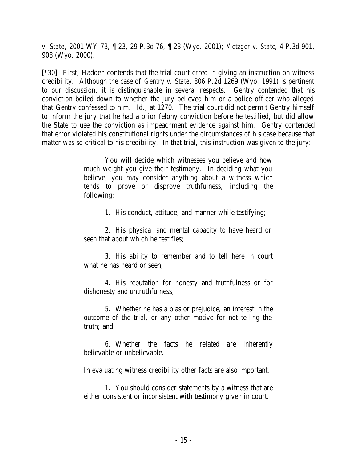*v. State*, 2001 WY 73, ¶ 23, 29 P.3d 76, ¶ 23 (Wyo. 2001); *Metzger v. State*, 4 P.3d 901, 908 (Wyo. 2000).

[¶30] First, Hadden contends that the trial court erred in giving an instruction on witness credibility. Although the case of *Gentry v. State*, 806 P.2d 1269 (Wyo. 1991) is pertinent to our discussion, it is distinguishable in several respects. Gentry contended that his conviction boiled down to whether the jury believed him or a police officer who alleged that Gentry confessed to him. *Id*., at 1270. The trial court did not permit Gentry himself to inform the jury that he had a prior felony conviction before he testified, but did allow the State to use the conviction as impeachment evidence against him. Gentry contended that error violated his constitutional rights under the circumstances of his case because that matter was so critical to his credibility. In that trial, this instruction was given to the jury:

> You will decide which witnesses you believe and how much weight you give their testimony. In deciding what you believe, you may consider anything about a witness which tends to prove or disprove truthfulness, including the following:

> > 1. His conduct, attitude, and manner while testifying;

2. His physical and mental capacity to have heard or seen that about which he testifies;

3. His ability to remember and to tell here in court what he has heard or seen;

4. His reputation for honesty and truthfulness or for dishonesty and untruthfulness;

5. Whether he has a bias or prejudice, an interest in the outcome of the trial, or any other motive for not telling the truth; and

6. Whether the facts he related are inherently believable or unbelievable.

In evaluating witness credibility other facts are also important.

1. You should consider statements by a witness that are either consistent or inconsistent with testimony given in court.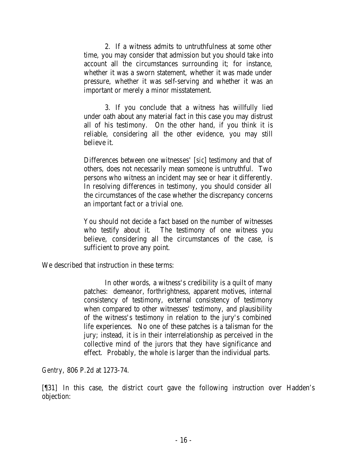2. If a witness admits to untruthfulness at some other time, you may consider that admission but you should take into account all the circumstances surrounding it; for instance, whether it was a sworn statement, whether it was made under pressure, whether it was self-serving and whether it was an important or merely a minor misstatement.

3. If you conclude that a witness has willfully lied under oath about any material fact in this case you may distrust all of his testimony. On the other hand, if you think it is reliable, considering all the other evidence, you may still believe it.

Differences between one witnesses' [*sic*] testimony and that of others, does not necessarily mean someone is untruthful. Two persons who witness an incident may see or hear it differently. In resolving differences in testimony, you should consider all the circumstances of the case whether the discrepancy concerns an important fact or a trivial one.

You should not decide a fact based on the number of witnesses who testify about it. The testimony of one witness you believe, considering all the circumstances of the case, is sufficient to prove any point.

We described that instruction in these terms:

In other words, a witness's credibility is a quilt of many patches: demeanor, forthrightness, apparent motives, internal consistency of testimony, external consistency of testimony when compared to other witnesses' testimony, and plausibility of the witness's testimony in relation to the jury's combined life experiences. No one of these patches is a talisman for the jury; instead, it is in their interrelationship as perceived in the collective mind of the jurors that they have significance and effect. Probably, the whole is larger than the individual parts.

*Gentry*, 806 P.2d at 1273-74.

[¶31] In this case, the district court gave the following instruction over Hadden's objection: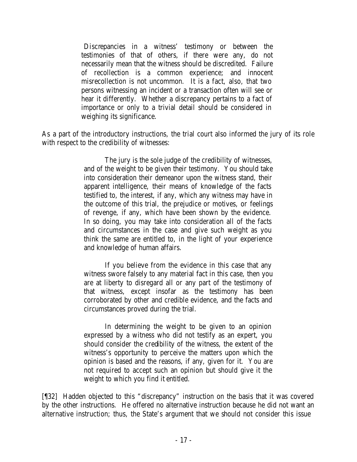Discrepancies in a witness' testimony or between the testimonies of that of others, if there were any, do not necessarily mean that the witness should be discredited. Failure of recollection is a common experience; and innocent misrecollection is not uncommon. It is a fact, also, that two persons witnessing an incident or a transaction often will see or hear it differently. Whether a discrepancy pertains to a fact of importance or only to a trivial detail should be considered in weighing its significance.

As a part of the introductory instructions, the trial court also informed the jury of its role with respect to the credibility of witnesses:

> The jury is the sole judge of the credibility of witnesses, and of the weight to be given their testimony. You should take into consideration their demeanor upon the witness stand, their apparent intelligence, their means of knowledge of the facts testified to, the interest, if any, which any witness may have in the outcome of this trial, the prejudice or motives, or feelings of revenge, if any, which have been shown by the evidence. In so doing, you may take into consideration all of the facts and circumstances in the case and give such weight as you think the same are entitled to, in the light of your experience and knowledge of human affairs.

> If you believe from the evidence in this case that any witness swore falsely to any material fact in this case, then you are at liberty to disregard all or any part of the testimony of that witness, except insofar as the testimony has been corroborated by other and credible evidence, and the facts and circumstances proved during the trial.

> In determining the weight to be given to an opinion expressed by a witness who did not testify as an expert, you should consider the credibility of the witness, the extent of the witness's opportunity to perceive the matters upon which the opinion is based and the reasons, if any, given for it. You are not required to accept such an opinion but should give it the weight to which you find it entitled.

[¶32] Hadden objected to this "discrepancy" instruction on the basis that it was covered by the other instructions. He offered no alternative instruction because he did not want an alternative instruction; thus, the State's argument that we should not consider this issue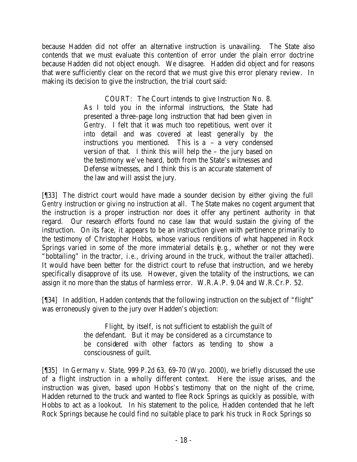because Hadden did not offer an alternative instruction is unavailing. The State also contends that we must evaluate this contention of error under the plain error doctrine because Hadden did not object enough. We disagree. Hadden did object and for reasons that were sufficiently clear on the record that we must give this error plenary review. In making its decision to give the instruction, the trial court said:

> COURT: The Court intends to give Instruction No. 8. As I told you in the informal instructions, the State had presented a three-page long instruction that had been given in *Gentry*. I felt that it was much too repetitious, went over it into detail and was covered at least generally by the instructions you mentioned. This is  $a - a$  very condensed version of that. I think this will help the – the jury based on the testimony we've heard, both from the State's witnesses and Defense witnesses, and I think this is an accurate statement of the law and will assist the jury.

[¶33] The district court would have made a sounder decision by either giving the full *Gentry* instruction or giving no instruction at all. The State makes no cogent argument that the instruction is a proper instruction nor does it offer any pertinent authority in that regard. Our research efforts found no case law that would sustain the giving of the instruction. On its face, it appears to be an instruction given with pertinence primarily to the testimony of Christopher Hobbs, whose various renditions of what happened in Rock Springs varied in some of the more immaterial details (*e.g*., whether or not they were "bobtailing" in the tractor, *i.e.*, driving around in the truck, without the trailer attached). It would have been better for the district court to refuse that instruction, and we hereby specifically disapprove of its use. However, given the totality of the instructions, we can assign it no more than the status of harmless error. W.R.A.P. 9.04 and W.R.Cr.P. 52.

[¶34] In addition, Hadden contends that the following instruction on the subject of "flight" was erroneously given to the jury over Hadden's objection:

> Flight, by itself, is not sufficient to establish the guilt of the defendant. But it may be considered as a circumstance to be considered with other factors as tending to show a consciousness of guilt.

[¶35] In *Germany v. State*, 999 P.2d 63, 69-70 (Wyo. 2000), we briefly discussed the use of a flight instruction in a wholly different context. Here the issue arises, and the instruction was given, based upon Hobbs's testimony that on the night of the crime, Hadden returned to the truck and wanted to flee Rock Springs as quickly as possible, with Hobbs to act as a lookout. In his statement to the police, Hadden contended that he left Rock Springs because he could find no suitable place to park his truck in Rock Springs so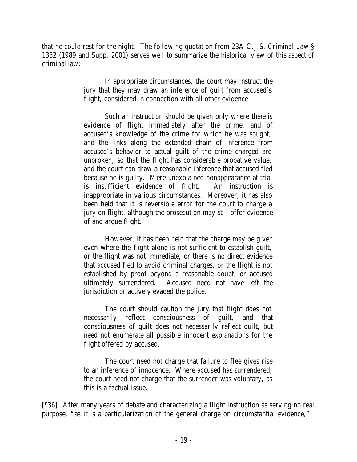that he could rest for the night. The following quotation from 23A C.J.S. *Criminal Law* § 1332 (1989 and Supp. 2001) serves well to summarize the historical view of this aspect of criminal law:

> In appropriate circumstances, the court may instruct the jury that they may draw an inference of guilt from accused's flight, considered in connection with all other evidence.

> Such an instruction should be given only where there is evidence of flight immediately after the crime, and of accused's knowledge of the crime for which he was sought, and the links along the extended chain of inference from accused's behavior to actual guilt of the crime charged are unbroken, so that the flight has considerable probative value, and the court can draw a reasonable inference that accused fled because he is guilty. Mere unexplained nonappearance at trial is insufficient evidence of flight. An instruction is inappropriate in various circumstances. Moreover, it has also been held that it is reversible error for the court to charge a jury on flight, although the prosecution may still offer evidence of and argue flight.

> However, it has been held that the charge may be given even where the flight alone is not sufficient to establish guilt, or the flight was not immediate, or there is no direct evidence that accused fled to avoid criminal charges, or the flight is not established by proof beyond a reasonable doubt, or accused ultimately surrendered. Accused need not have left the jurisdiction or actively evaded the police.

> The court should caution the jury that flight does not necessarily reflect consciousness of guilt, and that consciousness of guilt does not necessarily reflect guilt, but need not enumerate all possible innocent explanations for the flight offered by accused.

> The court need not charge that failure to flee gives rise to an inference of innocence. Where accused has surrendered, the court need not charge that the surrender was voluntary, as this is a factual issue.

[¶36] After many years of debate and characterizing a flight instruction as serving no real purpose, "as it is a particularization of the general charge on circumstantial evidence,"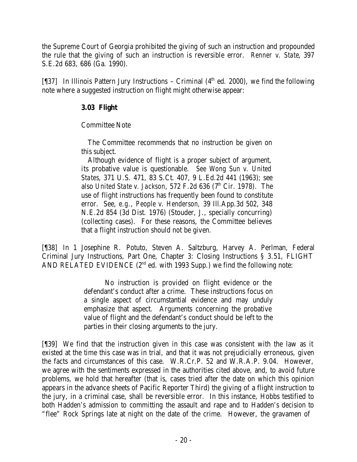the Supreme Court of Georgia prohibited the giving of such an instruction and propounded the rule that the giving of such an instruction is reversible error. *Renner v. State*, 397 S.E.2d 683, 686 (Ga. 1990).

[ $[$ [37] In Illinois Pattern Jury Instructions – Criminal ( $4<sup>th</sup>$  ed. 2000), we find the following note where a suggested instruction on flight might otherwise appear:

## **3.03 Flight**

### Committee Note

 The Committee recommends that no instruction be given on this subject.

 Although evidence of flight is a proper subject of argument, its probative value is questionable. *See Wong Sun v. United States*, 371 U.S. 471, 83 S.Ct. 407, 9 L.Ed.2d 441 (1963); see also *United State v. Jackson*, 572 F.2d 636 (7<sup>th</sup> Cir. 1978). The use of flight instructions has frequently been found to constitute error. See, *e.g.*, *People v. Henderson,* 39 Ill.App.3d 502, 348 N.E.2d 854 (3d Dist. 1976) (Stouder, J., specially concurring) (collecting cases). For these reasons, the Committee believes that a flight instruction should not be given.

[¶38] In 1 Josephine R. Potuto, Steven A. Saltzburg, Harvey A. Perlman, Federal Criminal Jury Instructions, Part One, Chapter 3: Closing Instructions § 3.51, FLIGHT AND RELATED EVIDENCE  $(2^{nd}$  ed. with 1993 Supp.) we find the following note:

> No instruction is provided on flight evidence or the defendant's conduct after a crime. These instructions focus on a single aspect of circumstantial evidence and may unduly emphasize that aspect. Arguments concerning the probative value of flight and the defendant's conduct should be left to the parties in their closing arguments to the jury.

[¶39] We find that the instruction given in this case was consistent with the law as it existed at the time this case was in trial, and that it was not prejudicially erroneous, given the facts and circumstances of this case. W.R.Cr.P. 52 and W.R.A.P. 9.04. However, we agree with the sentiments expressed in the authorities cited above, and, to avoid future problems, we hold that hereafter (that is, cases tried after the date on which this opinion appears in the advance sheets of Pacific Reporter Third) the giving of a flight instruction to the jury, in a criminal case, shall be reversible error. In this instance, Hobbs testified to both Hadden's admission to committing the assault and rape and to Hadden's decision to "flee" Rock Springs late at night on the date of the crime. However, the gravamen of